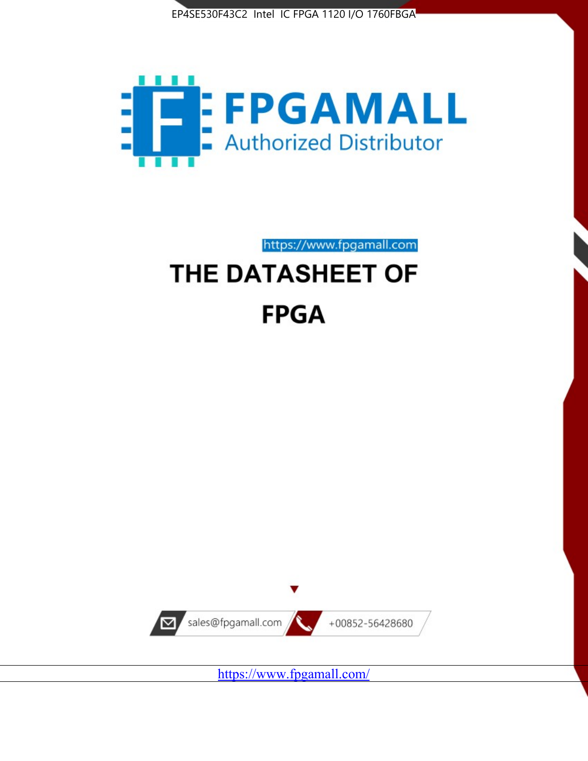



# https://www.fpgamall.com THE DATASHEET OF

# **FPGA**



<https://www.fpgamall.com/>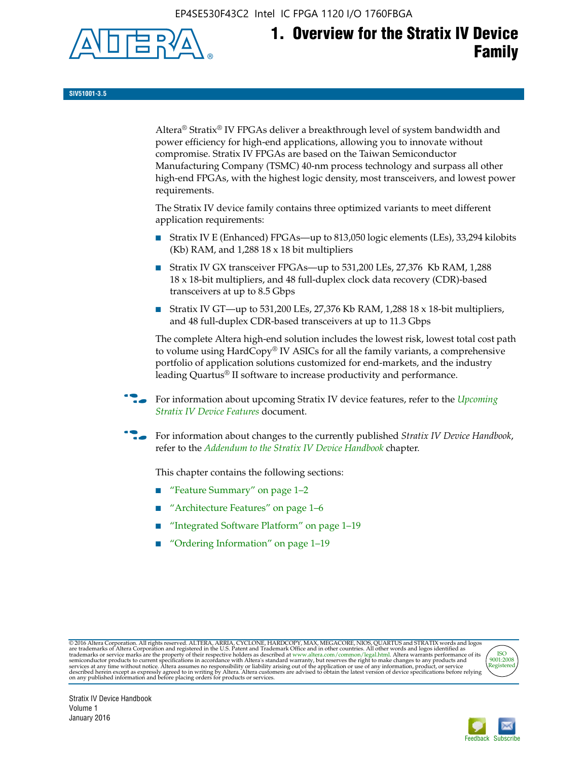EP4SE530F43C2 Intel IC FPGA 1120 I/O 1760FBGA



# **1. Overview for the Stratix IV Device Family**

**SIV51001-3.5**

Altera® Stratix® IV FPGAs deliver a breakthrough level of system bandwidth and power efficiency for high-end applications, allowing you to innovate without compromise. Stratix IV FPGAs are based on the Taiwan Semiconductor Manufacturing Company (TSMC) 40-nm process technology and surpass all other high-end FPGAs, with the highest logic density, most transceivers, and lowest power requirements.

The Stratix IV device family contains three optimized variants to meet different application requirements:

- Stratix IV E (Enhanced) FPGAs—up to 813,050 logic elements (LEs), 33,294 kilobits (Kb) RAM, and 1,288 18 x 18 bit multipliers
- Stratix IV GX transceiver FPGAs—up to 531,200 LEs, 27,376 Kb RAM, 1,288 18 x 18-bit multipliers, and 48 full-duplex clock data recovery (CDR)-based transceivers at up to 8.5 Gbps
- Stratix IV GT—up to 531,200 LEs, 27,376 Kb RAM, 1,288 18 x 18-bit multipliers, and 48 full-duplex CDR-based transceivers at up to 11.3 Gbps

The complete Altera high-end solution includes the lowest risk, lowest total cost path to volume using HardCopy® IV ASICs for all the family variants, a comprehensive portfolio of application solutions customized for end-markets, and the industry leading Quartus® II software to increase productivity and performance.

For information about upcoming Stratix IV device features, refer to the *Upcoming [Stratix IV Device Features](http://www.altera.com/literature/hb/stratix-iv/uf01001.pdf?GSA_pos=2&WT.oss_r=1&WT.oss=upcoming)* document.

f For information about changes to the currently published *Stratix IV Device Handbook*, refer to the *[Addendum to the Stratix IV Device Handbook](http://www.altera.com/literature/hb/stratix-iv/stx4_siv54002.pdf)* chapter.

This chapter contains the following sections:

- "Feature Summary" on page 1–2
- "Architecture Features" on page 1–6
- "Integrated Software Platform" on page 1–19
- "Ordering Information" on page 1–19

@2016 Altera Corporation. All rights reserved. ALTERA, ARRIA, CYCLONE, HARDCOPY, MAX, MEGACORE, NIOS, QUARTUS and STRATIX words and logos are trademarks of Altera Corporation and registered in the U.S. Patent and Trademark



Stratix IV Device Handbook Volume 1 January 2016

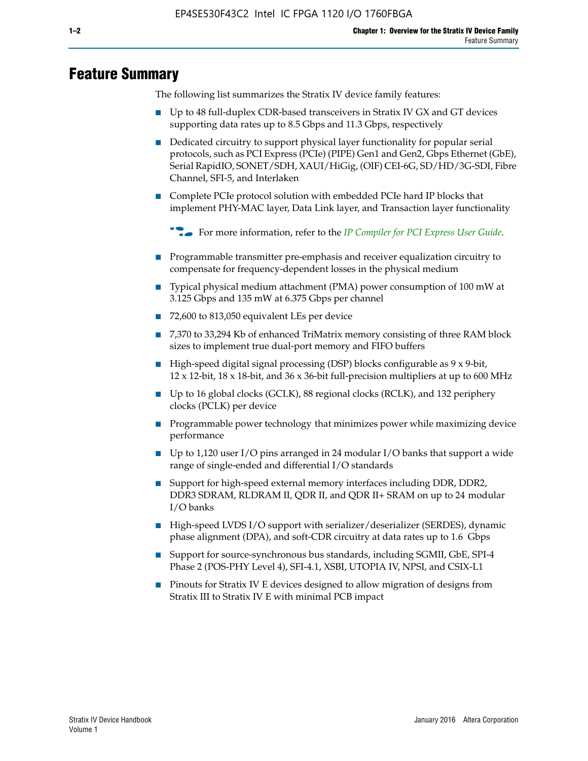# **Feature Summary**

The following list summarizes the Stratix IV device family features:

- Up to 48 full-duplex CDR-based transceivers in Stratix IV GX and GT devices supporting data rates up to 8.5 Gbps and 11.3 Gbps, respectively
- Dedicated circuitry to support physical layer functionality for popular serial protocols, such as PCI Express (PCIe) (PIPE) Gen1 and Gen2, Gbps Ethernet (GbE), Serial RapidIO, SONET/SDH, XAUI/HiGig, (OIF) CEI-6G, SD/HD/3G-SDI, Fibre Channel, SFI-5, and Interlaken
- Complete PCIe protocol solution with embedded PCIe hard IP blocks that implement PHY-MAC layer, Data Link layer, and Transaction layer functionality

**For more information, refer to the** *[IP Compiler for PCI Express User Guide](http://www.altera.com/literature/ug/ug_pci_express.pdf)***.** 

- Programmable transmitter pre-emphasis and receiver equalization circuitry to compensate for frequency-dependent losses in the physical medium
- Typical physical medium attachment (PMA) power consumption of 100 mW at 3.125 Gbps and 135 mW at 6.375 Gbps per channel
- 72,600 to 813,050 equivalent LEs per device
- 7,370 to 33,294 Kb of enhanced TriMatrix memory consisting of three RAM block sizes to implement true dual-port memory and FIFO buffers
- High-speed digital signal processing (DSP) blocks configurable as 9 x 9-bit,  $12 \times 12$ -bit,  $18 \times 18$ -bit, and  $36 \times 36$ -bit full-precision multipliers at up to 600 MHz
- Up to 16 global clocks (GCLK), 88 regional clocks (RCLK), and 132 periphery clocks (PCLK) per device
- Programmable power technology that minimizes power while maximizing device performance
- Up to 1,120 user I/O pins arranged in 24 modular I/O banks that support a wide range of single-ended and differential I/O standards
- Support for high-speed external memory interfaces including DDR, DDR2, DDR3 SDRAM, RLDRAM II, QDR II, and QDR II+ SRAM on up to 24 modular I/O banks
- High-speed LVDS I/O support with serializer/deserializer (SERDES), dynamic phase alignment (DPA), and soft-CDR circuitry at data rates up to 1.6 Gbps
- Support for source-synchronous bus standards, including SGMII, GbE, SPI-4 Phase 2 (POS-PHY Level 4), SFI-4.1, XSBI, UTOPIA IV, NPSI, and CSIX-L1
- Pinouts for Stratix IV E devices designed to allow migration of designs from Stratix III to Stratix IV E with minimal PCB impact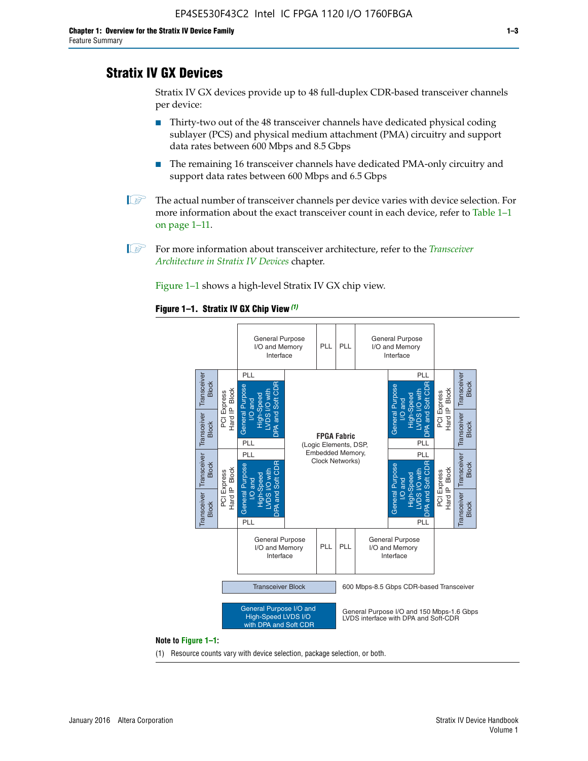# **Stratix IV GX Devices**

Stratix IV GX devices provide up to 48 full-duplex CDR-based transceiver channels per device:

- Thirty-two out of the 48 transceiver channels have dedicated physical coding sublayer (PCS) and physical medium attachment (PMA) circuitry and support data rates between 600 Mbps and 8.5 Gbps
- The remaining 16 transceiver channels have dedicated PMA-only circuitry and support data rates between 600 Mbps and 6.5 Gbps
- **1 The actual number of transceiver channels per device varies with device selection. For** more information about the exact transceiver count in each device, refer to Table 1–1 on page 1–11.
- 1 For more information about transceiver architecture, refer to the *[Transceiver](http://www.altera.com/literature/hb/stratix-iv/stx4_siv52001.pdf)  [Architecture in Stratix IV Devices](http://www.altera.com/literature/hb/stratix-iv/stx4_siv52001.pdf)* chapter.

Figure 1–1 shows a high-level Stratix IV GX chip view.

#### **Figure 1–1. Stratix IV GX Chip View** *(1)*



#### **Note to Figure 1–1:**

(1) Resource counts vary with device selection, package selection, or both.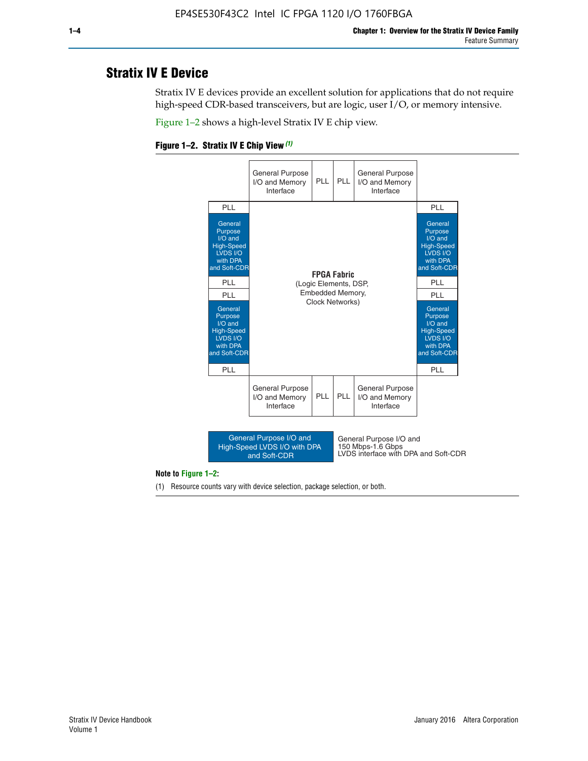# **Stratix IV E Device**

Stratix IV E devices provide an excellent solution for applications that do not require high-speed CDR-based transceivers, but are logic, user I/O, or memory intensive.

Figure 1–2 shows a high-level Stratix IV E chip view.





#### **Note to Figure 1–2:**

(1) Resource counts vary with device selection, package selection, or both.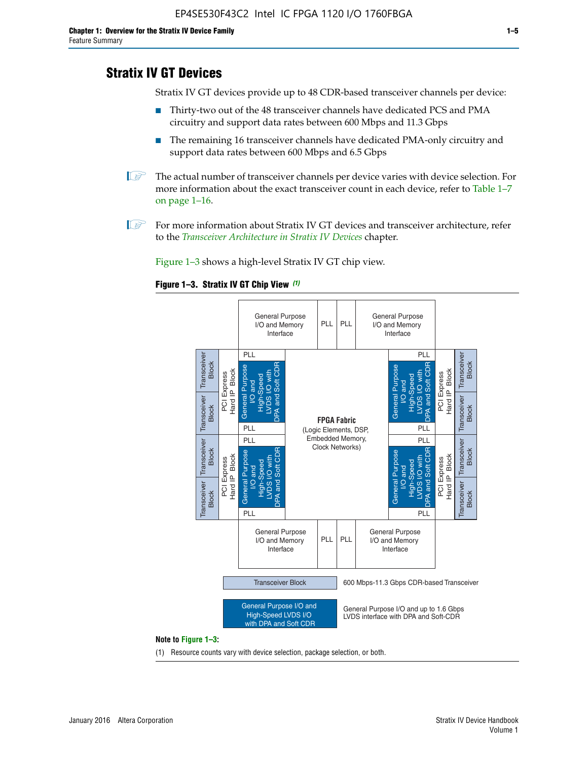# **Stratix IV GT Devices**

Stratix IV GT devices provide up to 48 CDR-based transceiver channels per device:

- Thirty-two out of the 48 transceiver channels have dedicated PCS and PMA circuitry and support data rates between 600 Mbps and 11.3 Gbps
- The remaining 16 transceiver channels have dedicated PMA-only circuitry and support data rates between 600 Mbps and 6.5 Gbps
- **1** The actual number of transceiver channels per device varies with device selection. For more information about the exact transceiver count in each device, refer to Table 1–7 on page 1–16.
- $\mathbb{I}$  For more information about Stratix IV GT devices and transceiver architecture, refer to the *[Transceiver Architecture in Stratix IV Devices](http://www.altera.com/literature/hb/stratix-iv/stx4_siv52001.pdf)* chapter.

Figure 1–3 shows a high-level Stratix IV GT chip view.





(1) Resource counts vary with device selection, package selection, or both.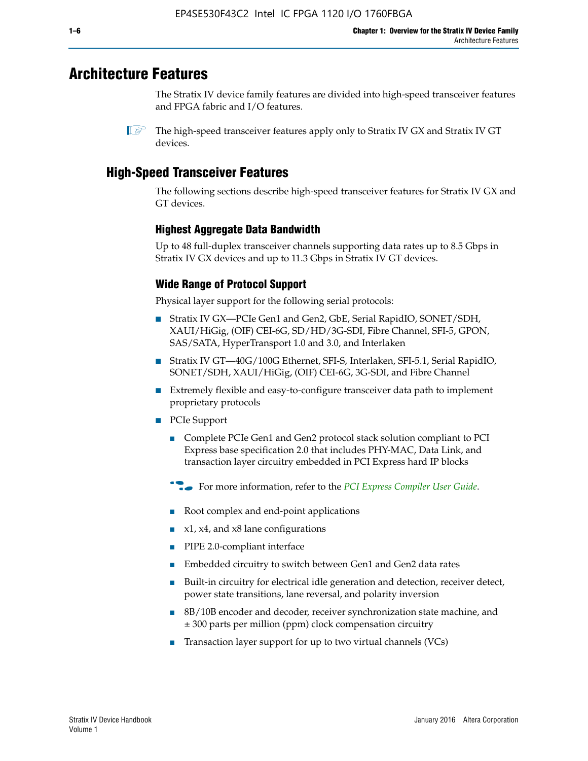# **Architecture Features**

The Stratix IV device family features are divided into high-speed transceiver features and FPGA fabric and I/O features.

 $\mathbb{I}$  The high-speed transceiver features apply only to Stratix IV GX and Stratix IV GT devices.

# **High-Speed Transceiver Features**

The following sections describe high-speed transceiver features for Stratix IV GX and GT devices.

## **Highest Aggregate Data Bandwidth**

Up to 48 full-duplex transceiver channels supporting data rates up to 8.5 Gbps in Stratix IV GX devices and up to 11.3 Gbps in Stratix IV GT devices.

## **Wide Range of Protocol Support**

Physical layer support for the following serial protocols:

- Stratix IV GX—PCIe Gen1 and Gen2, GbE, Serial RapidIO, SONET/SDH, XAUI/HiGig, (OIF) CEI-6G, SD/HD/3G-SDI, Fibre Channel, SFI-5, GPON, SAS/SATA, HyperTransport 1.0 and 3.0, and Interlaken
- Stratix IV GT—40G/100G Ethernet, SFI-S, Interlaken, SFI-5.1, Serial RapidIO, SONET/SDH, XAUI/HiGig, (OIF) CEI-6G, 3G-SDI, and Fibre Channel
- Extremely flexible and easy-to-configure transceiver data path to implement proprietary protocols
- PCIe Support
	- Complete PCIe Gen1 and Gen2 protocol stack solution compliant to PCI Express base specification 2.0 that includes PHY-MAC, Data Link, and transaction layer circuitry embedded in PCI Express hard IP blocks
	- **For more information, refer to the [PCI Express Compiler User Guide](http://www.altera.com/literature/ug/ug_pci_express.pdf).**
	- Root complex and end-point applications
	- $x1, x4,$  and  $x8$  lane configurations
	- PIPE 2.0-compliant interface
	- Embedded circuitry to switch between Gen1 and Gen2 data rates
	- Built-in circuitry for electrical idle generation and detection, receiver detect, power state transitions, lane reversal, and polarity inversion
	- 8B/10B encoder and decoder, receiver synchronization state machine, and ± 300 parts per million (ppm) clock compensation circuitry
	- Transaction layer support for up to two virtual channels (VCs)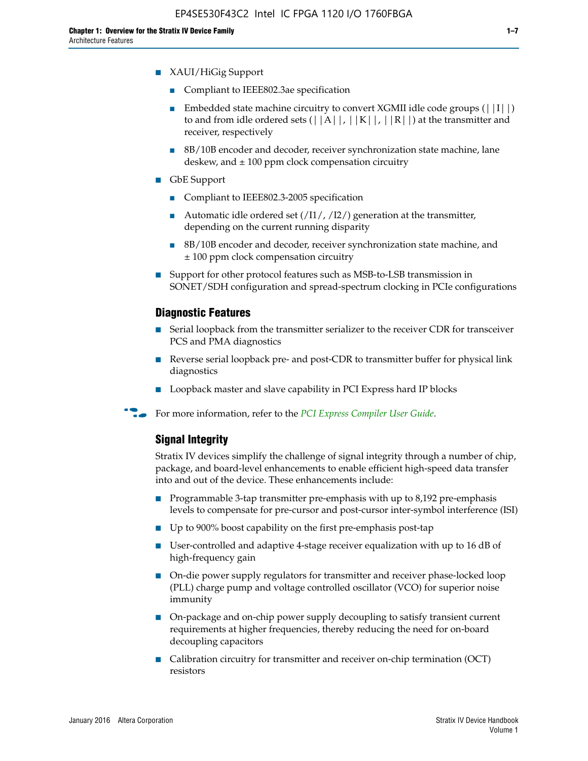- XAUI/HiGig Support
	- Compliant to IEEE802.3ae specification
	- **■** Embedded state machine circuitry to convert XGMII idle code groups  $(|11|)$ to and from idle ordered sets  $(|A|, |K|, |R|)$  at the transmitter and receiver, respectively
	- 8B/10B encoder and decoder, receiver synchronization state machine, lane deskew, and  $\pm 100$  ppm clock compensation circuitry
- GbE Support
	- Compliant to IEEE802.3-2005 specification
	- Automatic idle ordered set  $(111/112/1)$  generation at the transmitter, depending on the current running disparity
	- 8B/10B encoder and decoder, receiver synchronization state machine, and ± 100 ppm clock compensation circuitry
- Support for other protocol features such as MSB-to-LSB transmission in SONET/SDH configuration and spread-spectrum clocking in PCIe configurations

#### **Diagnostic Features**

- Serial loopback from the transmitter serializer to the receiver CDR for transceiver PCS and PMA diagnostics
- Reverse serial loopback pre- and post-CDR to transmitter buffer for physical link diagnostics
- Loopback master and slave capability in PCI Express hard IP blocks
- **For more information, refer to the** *[PCI Express Compiler User Guide](http://www.altera.com/literature/ug/ug_pci_express.pdf)***.**

#### **Signal Integrity**

Stratix IV devices simplify the challenge of signal integrity through a number of chip, package, and board-level enhancements to enable efficient high-speed data transfer into and out of the device. These enhancements include:

- Programmable 3-tap transmitter pre-emphasis with up to 8,192 pre-emphasis levels to compensate for pre-cursor and post-cursor inter-symbol interference (ISI)
- Up to 900% boost capability on the first pre-emphasis post-tap
- User-controlled and adaptive 4-stage receiver equalization with up to 16 dB of high-frequency gain
- On-die power supply regulators for transmitter and receiver phase-locked loop (PLL) charge pump and voltage controlled oscillator (VCO) for superior noise immunity
- On-package and on-chip power supply decoupling to satisfy transient current requirements at higher frequencies, thereby reducing the need for on-board decoupling capacitors
- Calibration circuitry for transmitter and receiver on-chip termination (OCT) resistors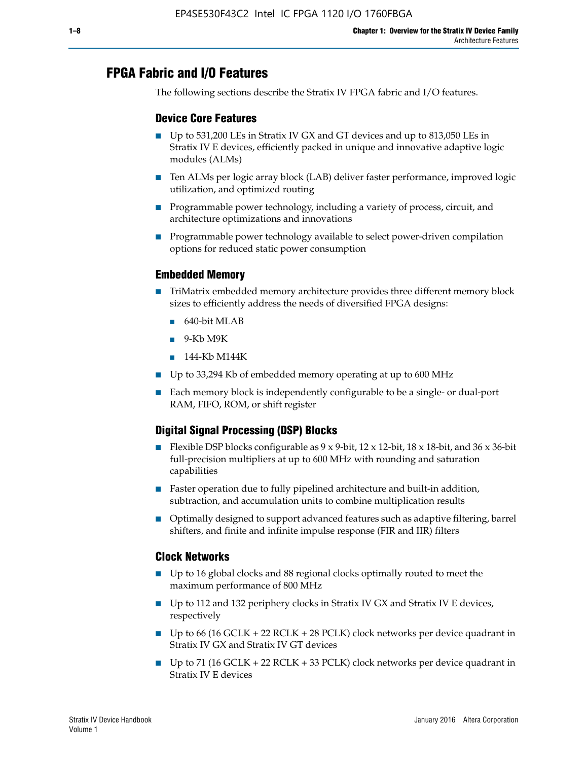# **FPGA Fabric and I/O Features**

The following sections describe the Stratix IV FPGA fabric and I/O features.

### **Device Core Features**

- Up to 531,200 LEs in Stratix IV GX and GT devices and up to 813,050 LEs in Stratix IV E devices, efficiently packed in unique and innovative adaptive logic modules (ALMs)
- Ten ALMs per logic array block (LAB) deliver faster performance, improved logic utilization, and optimized routing
- Programmable power technology, including a variety of process, circuit, and architecture optimizations and innovations
- Programmable power technology available to select power-driven compilation options for reduced static power consumption

#### **Embedded Memory**

- TriMatrix embedded memory architecture provides three different memory block sizes to efficiently address the needs of diversified FPGA designs:
	- 640-bit MLAB
	- 9-Kb M9K
	- 144-Kb M144K
- Up to 33,294 Kb of embedded memory operating at up to 600 MHz
- Each memory block is independently configurable to be a single- or dual-port RAM, FIFO, ROM, or shift register

## **Digital Signal Processing (DSP) Blocks**

- Flexible DSP blocks configurable as  $9 \times 9$ -bit,  $12 \times 12$ -bit,  $18 \times 18$ -bit, and  $36 \times 36$ -bit full-precision multipliers at up to 600 MHz with rounding and saturation capabilities
- Faster operation due to fully pipelined architecture and built-in addition, subtraction, and accumulation units to combine multiplication results
- Optimally designed to support advanced features such as adaptive filtering, barrel shifters, and finite and infinite impulse response (FIR and IIR) filters

#### **Clock Networks**

- Up to 16 global clocks and 88 regional clocks optimally routed to meet the maximum performance of 800 MHz
- Up to 112 and 132 periphery clocks in Stratix IV GX and Stratix IV E devices, respectively
- Up to 66 (16 GCLK + 22 RCLK + 28 PCLK) clock networks per device quadrant in Stratix IV GX and Stratix IV GT devices
- Up to 71 (16 GCLK + 22 RCLK + 33 PCLK) clock networks per device quadrant in Stratix IV E devices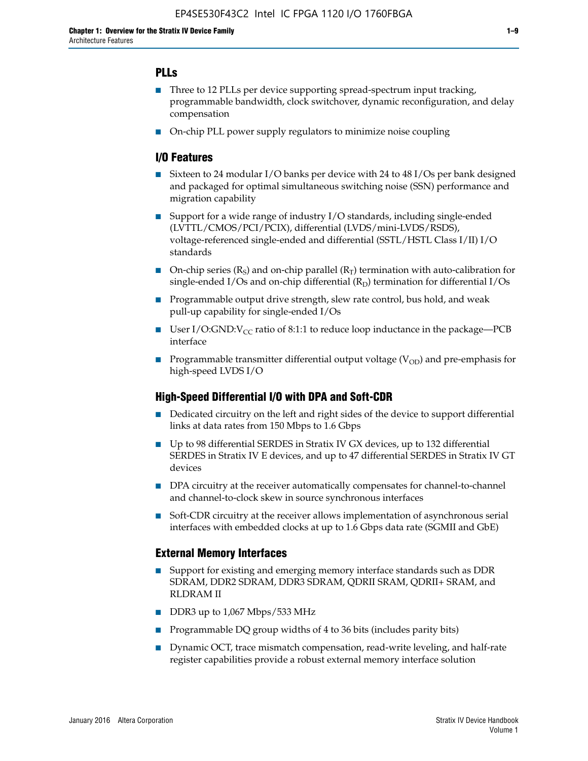## **PLLs**

- Three to 12 PLLs per device supporting spread-spectrum input tracking, programmable bandwidth, clock switchover, dynamic reconfiguration, and delay compensation
- On-chip PLL power supply regulators to minimize noise coupling

### **I/O Features**

- Sixteen to 24 modular I/O banks per device with 24 to 48 I/Os per bank designed and packaged for optimal simultaneous switching noise (SSN) performance and migration capability
- Support for a wide range of industry I/O standards, including single-ended (LVTTL/CMOS/PCI/PCIX), differential (LVDS/mini-LVDS/RSDS), voltage-referenced single-ended and differential (SSTL/HSTL Class I/II) I/O standards
- **O**n-chip series  $(R_S)$  and on-chip parallel  $(R_T)$  termination with auto-calibration for single-ended I/Os and on-chip differential  $(R_D)$  termination for differential I/Os
- Programmable output drive strength, slew rate control, bus hold, and weak pull-up capability for single-ended I/Os
- User I/O:GND: $V_{CC}$  ratio of 8:1:1 to reduce loop inductance in the package—PCB interface
- **■** Programmable transmitter differential output voltage ( $V_{OD}$ ) and pre-emphasis for high-speed LVDS I/O

#### **High-Speed Differential I/O with DPA and Soft-CDR**

- Dedicated circuitry on the left and right sides of the device to support differential links at data rates from 150 Mbps to 1.6 Gbps
- Up to 98 differential SERDES in Stratix IV GX devices, up to 132 differential SERDES in Stratix IV E devices, and up to 47 differential SERDES in Stratix IV GT devices
- DPA circuitry at the receiver automatically compensates for channel-to-channel and channel-to-clock skew in source synchronous interfaces
- Soft-CDR circuitry at the receiver allows implementation of asynchronous serial interfaces with embedded clocks at up to 1.6 Gbps data rate (SGMII and GbE)

#### **External Memory Interfaces**

- Support for existing and emerging memory interface standards such as DDR SDRAM, DDR2 SDRAM, DDR3 SDRAM, QDRII SRAM, QDRII+ SRAM, and RLDRAM II
- DDR3 up to 1,067 Mbps/533 MHz
- Programmable DQ group widths of 4 to 36 bits (includes parity bits)
- Dynamic OCT, trace mismatch compensation, read-write leveling, and half-rate register capabilities provide a robust external memory interface solution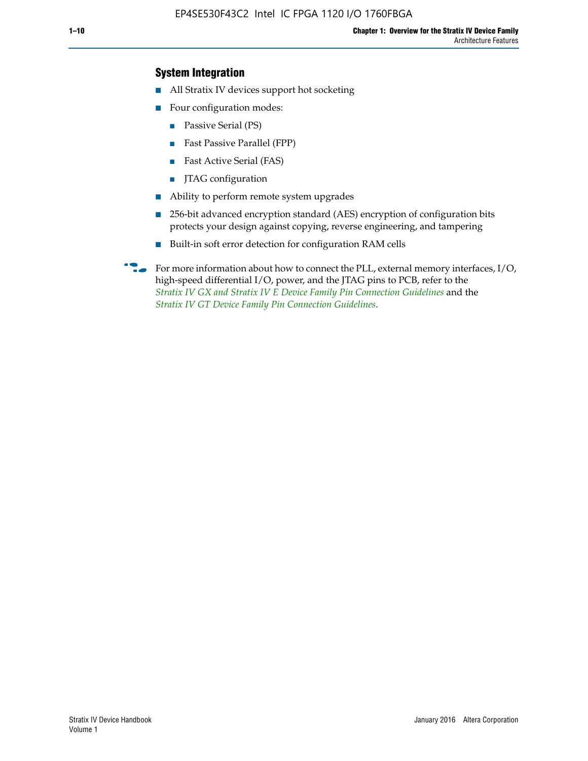## **System Integration**

- All Stratix IV devices support hot socketing
- Four configuration modes:
	- Passive Serial (PS)
	- Fast Passive Parallel (FPP)
	- Fast Active Serial (FAS)
	- JTAG configuration
- Ability to perform remote system upgrades
- 256-bit advanced encryption standard (AES) encryption of configuration bits protects your design against copying, reverse engineering, and tampering
- Built-in soft error detection for configuration RAM cells
- For more information about how to connect the PLL, external memory interfaces,  $I/O$ , high-speed differential I/O, power, and the JTAG pins to PCB, refer to the *[Stratix IV GX and Stratix IV E Device Family Pin Connection Guidelines](http://www.altera.com/literature/dp/stratix4/PCG-01005.pdf)* and the *[Stratix IV GT Device Family Pin Connection Guidelines](http://www.altera.com/literature/dp/stratix4/PCG-01006.pdf)*.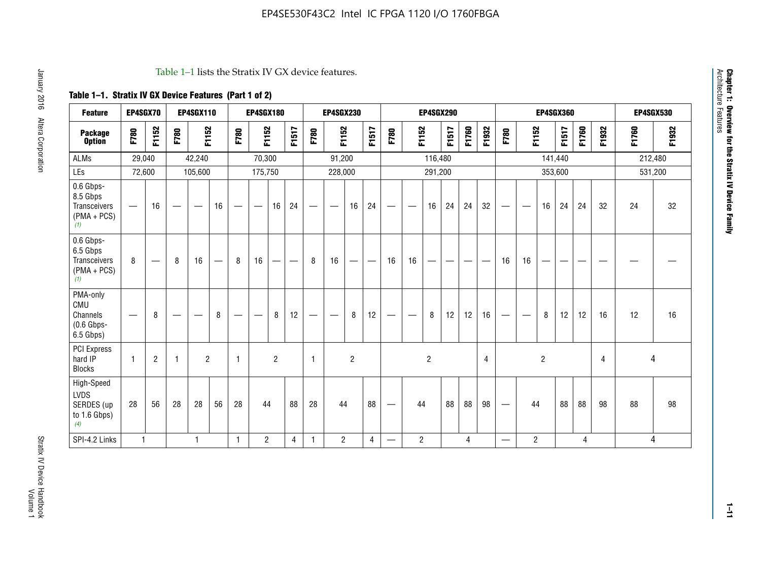#### Table 1–1 lists the Stratix IV GX device features.

## **Table 1–1. Stratix IV GX Device Features (Part 1 of 2)**

| <b>Feature</b>                                                       | EP4SGX70                       |                |                                  | <b>EP4SGX110</b> |    |                                | <b>EP4SGX180</b>               |                |       |              | <b>EP4SGX230</b>         |                          |                               |      |                | <b>EP4SGX290</b> |       |       |       |                          |                   |                | <b>EP4SGX360</b> |       |       |         | <b>EP4SGX530</b> |
|----------------------------------------------------------------------|--------------------------------|----------------|----------------------------------|------------------|----|--------------------------------|--------------------------------|----------------|-------|--------------|--------------------------|--------------------------|-------------------------------|------|----------------|------------------|-------|-------|-------|--------------------------|-------------------|----------------|------------------|-------|-------|---------|------------------|
| <b>Package</b><br><b>Option</b>                                      | F780                           | F1152          | F780                             | F1152            |    | F780                           | F1152                          |                | F1517 | F780         | F1152                    |                          | F1517                         | F780 | F1152          |                  | F1517 | F1760 | F1932 | F780                     | F1152             |                | F1517            | F1760 | F1932 | F1760   | F1932            |
| ALMs                                                                 | 29,040                         |                |                                  | 42,240           |    |                                | 70,300                         |                |       |              | 91,200                   |                          |                               |      |                | 116,480          |       |       |       |                          |                   |                | 141,440          |       |       | 212,480 |                  |
| LEs                                                                  | 72,600                         |                |                                  | 105,600          |    |                                | 175,750                        |                |       |              | 228,000                  |                          |                               |      |                | 291,200          |       |       |       |                          |                   |                | 353,600          |       |       |         | 531,200          |
| 0.6 Gbps-<br>8.5 Gbps<br>Transceivers<br>$(PMA + PCs)$<br>(1)        | $\overline{\phantom{0}}$       | 16             |                                  |                  | 16 |                                | $\qquad \qquad \longleftarrow$ | 16             | 24    |              |                          | 16                       | 24                            |      |                | 16               | 24    | 24    | 32    | $\overline{\phantom{0}}$ |                   | 16             | 24               | 24    | 32    | 24      | 32               |
| 0.6 Gbps-<br>6.5 Gbps<br><b>Transceivers</b><br>$(PMA + PCs)$<br>(1) | 8                              |                | 8                                | 16               | –  | 8                              | 16                             | -              |       | 8            | 16                       | $\overline{\phantom{0}}$ | $\overbrace{\phantom{aaaaa}}$ | 16   | 16             |                  | -     |       |       | 16                       | 16                |                |                  |       |       |         |                  |
| PMA-only<br>CMU<br>Channels<br>$(0.6$ Gbps-<br>6.5 Gbps)             | $\qquad \qquad \longleftarrow$ | 8              | $\overbrace{\phantom{12322111}}$ |                  | 8  | $\qquad \qquad \longleftarrow$ |                                | 8              | 12    | -            | $\overline{\phantom{a}}$ | 8                        | 12                            |      |                | 8                | 12    | 12    | 16    | $\overline{\phantom{0}}$ | $\hspace{0.05cm}$ | 8              | 12               | 12    | 16    | 12      | 16               |
| PCI Express<br>hard IP<br><b>Blocks</b>                              | $\mathbf{1}$                   | $\overline{2}$ |                                  | $\overline{2}$   |    | 1                              |                                | $\overline{2}$ |       | $\mathbf{1}$ |                          | $\overline{c}$           |                               |      |                | $\overline{c}$   |       |       | 4     |                          |                   | $\overline{2}$ |                  |       | 4     |         | 4                |
| High-Speed<br>LVDS<br>SERDES (up<br>to 1.6 Gbps)<br>(4)              | 28                             | 56             | 28                               | 28               | 56 | 28                             | 44                             |                | 88    | 28           | 44                       |                          | 88                            | —    | 44             |                  | 88    | 88    | 98    |                          | 44                |                | 88               | 88    | 98    | 88      | 98               |
| SPI-4.2 Links                                                        | $\mathbf{1}$                   |                |                                  | 1                |    | $\mathbf{1}$                   | $\overline{c}$                 |                | 4     | 1            | $\overline{c}$           |                          | $\overline{4}$                | —    | $\overline{2}$ |                  |       | 4     |       | $\overline{\phantom{0}}$ | $\overline{2}$    |                |                  | 4     |       |         | 4                |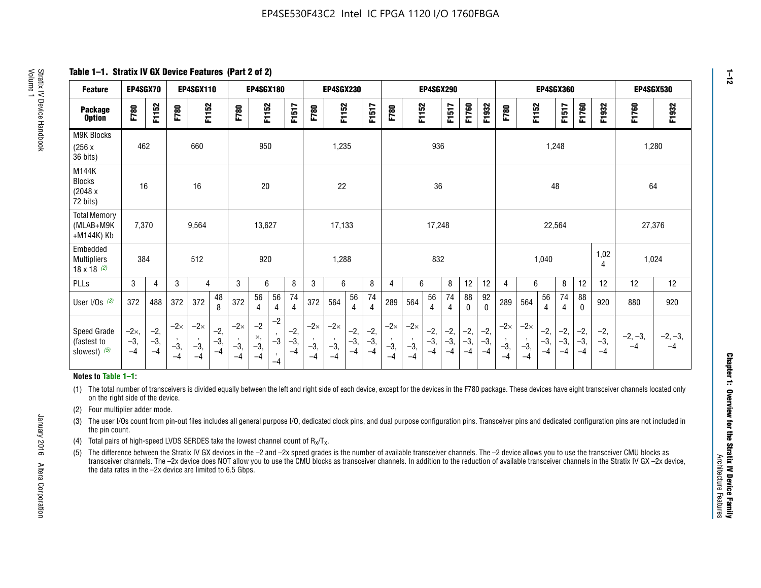**Table 1–1. Stratix IV GX Device Features (Part 2 of 2)**

| <b>Feature</b>                                       | EP4SGX70                |                        |                             | <b>EP4SGX110</b>            |                      |                             | <b>EP4SGX180</b>          |                                              |                        |                             | <b>EP4SGX230</b>            |                        |                      |                             |                             | EP4SGX290              |                      |                        |                        |                             |                             |                        | <b>EP4SGX360</b>     |                        |                        | <b>EP4SGX530</b>  |                   |
|------------------------------------------------------|-------------------------|------------------------|-----------------------------|-----------------------------|----------------------|-----------------------------|---------------------------|----------------------------------------------|------------------------|-----------------------------|-----------------------------|------------------------|----------------------|-----------------------------|-----------------------------|------------------------|----------------------|------------------------|------------------------|-----------------------------|-----------------------------|------------------------|----------------------|------------------------|------------------------|-------------------|-------------------|
| <b>Package</b><br><b>Option</b>                      | F780                    | F1152                  | F780                        | F1152                       |                      | F780                        | F1152                     |                                              | F1517                  | F780                        | F1152                       |                        | F1517                | F780                        | F1152                       |                        | F1517                | F1760                  | F1932                  | F780                        | F1152                       |                        | F1517                | F1760                  | F1932                  | F1760             | F1932             |
| M9K Blocks<br>(256x)<br>36 bits)                     | 462                     |                        |                             | 660                         |                      |                             | 950                       |                                              |                        |                             | 1,235                       |                        |                      |                             |                             | 936                    |                      |                        |                        |                             |                             | 1,248                  |                      |                        |                        | 1,280             |                   |
| M144K<br>Blocks<br>(2048 x<br>72 bits)               | 16                      |                        |                             | 16                          |                      |                             | 20                        |                                              |                        |                             | 22                          |                        |                      |                             |                             | 36                     |                      |                        |                        |                             |                             | 48                     |                      |                        |                        | 64                |                   |
| <b>Total Memory</b><br>(MLAB+M9K<br>+M144K) Kb       | 7,370                   |                        |                             | 9,564                       |                      |                             | 13,627                    |                                              |                        |                             | 17,133                      |                        |                      |                             |                             | 17,248                 |                      |                        |                        |                             |                             | 22,564                 |                      |                        |                        | 27,376            |                   |
| Embedded<br><b>Multipliers</b><br>$18 \times 18$ (2) | 384                     |                        |                             | 512                         |                      |                             | 920                       |                                              |                        |                             | 1,288                       |                        |                      |                             |                             | 832                    |                      |                        |                        |                             |                             | 1,040                  |                      |                        | 1,02<br>4              | 1,024             |                   |
| PLLs                                                 | 3                       | 4                      | 3                           | 4                           |                      | 3                           | 6                         |                                              | 8                      | 3                           | 6                           |                        | 8                    | 4                           | 6                           |                        | 8                    | 12                     | 12                     | 4                           | 6                           |                        | 8                    | 12                     | 12                     | 12                | 12                |
| User I/Os $(3)$                                      | 372                     | 488                    | 372                         | 372                         | 48<br>8              | 372                         | 56<br>4                   | 56<br>4                                      | 74<br>$\overline{4}$   | 372                         | 564                         | 56<br>4                | 74<br>$\overline{4}$ | 289                         | 564                         | 56<br>4                | 74<br>4              | 88<br>0                | 92<br>$\mathbf 0$      | 289                         | 564                         | 56<br>4                | 74<br>4              | 88<br>0                | 920                    | 880               | 920               |
| Speed Grade<br>(fastest to<br>slowest) (5)           | $-2x,$<br>$-3,$<br>$-4$ | $-2,$<br>$-3,$<br>$-4$ | $-2\times$<br>$-3,$<br>$-4$ | $-2\times$<br>$-3,$<br>$-4$ | $-2,$<br>-3,<br>$-4$ | $-2\times$<br>$-3,$<br>$-4$ | $-2$<br>×,<br>$-3,$<br>-4 | $-2$<br>$\,$<br>$-3$<br>$\mathbf{r}$<br>$-4$ | $-2,$<br>$-3,$<br>$-4$ | $-2\times$<br>$-3,$<br>$-4$ | $-2\times$<br>$-3,$<br>$-4$ | $-2,$<br>$-3,$<br>$-4$ | $-2,$<br>-3,<br>$-4$ | $-2\times$<br>$-3,$<br>$-4$ | $-2\times$<br>$-3,$<br>$-4$ | $-2,$<br>$-3,$<br>$-4$ | $-2,$<br>-3,<br>$-4$ | $-2,$<br>$-3,$<br>$-4$ | $-2,$<br>$-3,$<br>$-4$ | $-2\times$<br>$-3,$<br>$-4$ | $-2\times$<br>$-3,$<br>$-4$ | $-2,$<br>$-3,$<br>$-4$ | $-2,$<br>-3,<br>$-4$ | $-2,$<br>$-3,$<br>$-4$ | $-2,$<br>$-3,$<br>$-4$ | $-2, -3,$<br>$-4$ | $-2, -3,$<br>$-4$ |

#### **Notes to Table 1–1:**

(1) The total number of transceivers is divided equally between the left and right side of each device, except for the devices in the F780 package. These devices have eight transceiver channels located only on the right side of the device.

- (2) Four multiplier adder mode.
- (3) The user I/Os count from pin-out files includes all general purpose I/O, dedicated clock pins, and dual purpose configuration pins. Transceiver pins and dedicated configuration pins are not included in the pin count.
- (4) Total pairs of high-speed LVDS SERDES take the lowest channel count of  $R_X/T_X$ .
- (5) The difference between the Stratix IV GX devices in the –2 and –2x speed grades is the number of available transceiver channels. The –2 device allows you to use the transceiver CMU blocks as transceiver channels. The –2x device does NOT allow you to use the CMU blocks as transceiver channels. In addition to the reduction of available transceiver channels in the Stratix IV GX –2x device, the data rates in the –2x device are limited to 6.5 Gbps.

January 2016 Altera Corporation

Altera Corporation

January 2016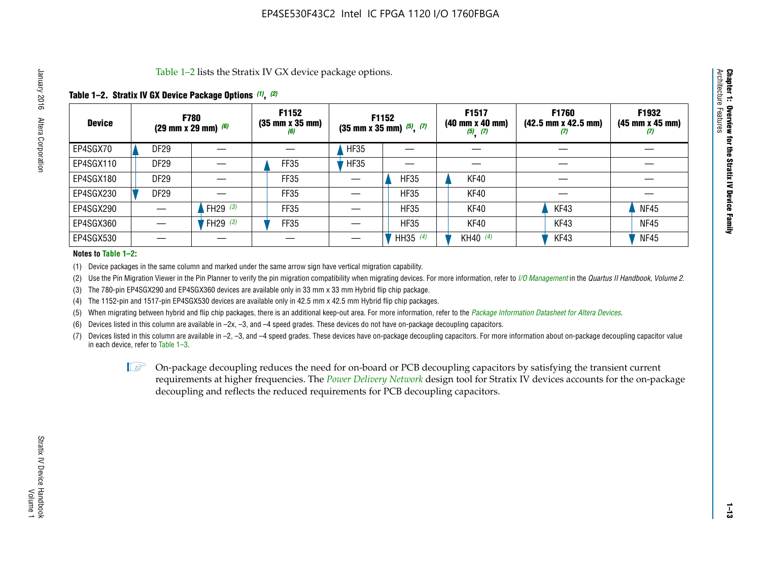Table 1–2 lists the Stratix IV GX device package options.

#### **Table 1–2. Stratix IV GX Device Package Options** *(1)***,** *(2)*

| <b>Device</b> |                  | <b>F780</b><br>(29 mm x 29 mm) $(6)$ | F1152<br>$(35 \, \text{mm} \times 35 \, \text{mm})$<br>(6) |             | F1152<br>$(35 \text{ mm} \times 35 \text{ mm})$ $(5)$ , $(7)$ | F1517<br>$(40 \, \text{mm} \times 40 \, \text{mm})$<br>$(5)$ $(7)$ | <b>F1760</b><br>$(42.5 \text{ mm} \times 42.5 \text{ mm})$<br>‴ | F1932<br>$(45 \, \text{mm} \times 45 \, \text{mm})$<br>$\boldsymbol{U}$ |
|---------------|------------------|--------------------------------------|------------------------------------------------------------|-------------|---------------------------------------------------------------|--------------------------------------------------------------------|-----------------------------------------------------------------|-------------------------------------------------------------------------|
| EP4SGX70      | DF <sub>29</sub> |                                      |                                                            | <b>HF35</b> |                                                               |                                                                    |                                                                 |                                                                         |
| EP4SGX110     | DF <sub>29</sub> |                                      | FF35                                                       | <b>HF35</b> |                                                               |                                                                    |                                                                 |                                                                         |
| EP4SGX180     | DF <sub>29</sub> |                                      | FF35                                                       |             | <b>HF35</b>                                                   | KF40                                                               |                                                                 |                                                                         |
| EP4SGX230     | <b>DF29</b>      |                                      | FF35                                                       |             | <b>HF35</b>                                                   | KF40                                                               |                                                                 |                                                                         |
| EP4SGX290     |                  | FH29 $(3)$                           | <b>FF35</b>                                                |             | <b>HF35</b>                                                   | KF40                                                               | KF43                                                            | <b>NF45</b>                                                             |
| EP4SGX360     |                  | FH29 $(3)$                           | FF35                                                       |             | <b>HF35</b>                                                   | KF40                                                               | KF43                                                            | <b>NF45</b>                                                             |
| EP4SGX530     |                  |                                      |                                                            |             | HH35 $(4)$                                                    | KH40 (4)                                                           | KF43                                                            | <b>NF45</b>                                                             |

#### **Notes to Table 1–2:**

(1) Device packages in the same column and marked under the same arrow sign have vertical migration capability.

(2) Use the Pin Migration Viewer in the Pin Planner to verify the pin migration compatibility when migrating devices. For more information, refer to *[I/O Management](http://www.altera.com/literature/hb/qts/qts_qii52013.pdf)* in the *Quartus II Handbook, Volume 2*.

(3) The 780-pin EP4SGX290 and EP4SGX360 devices are available only in 33 mm x 33 mm Hybrid flip chip package.

(4) The 1152-pin and 1517-pin EP4SGX530 devices are available only in 42.5 mm x 42.5 mm Hybrid flip chip packages.

(5) When migrating between hybrid and flip chip packages, there is an additional keep-out area. For more information, refer to the *[Package Information Datasheet for Altera Devices](http://www.altera.com/literature/ds/dspkg.pdf)*.

(6) Devices listed in this column are available in –2x, –3, and –4 speed grades. These devices do not have on-package decoupling capacitors.

(7) Devices listed in this column are available in –2, –3, and –4 speed grades. These devices have on-package decoupling capacitors. For more information about on-package decoupling capacitor value in each device, refer to Table 1–3.

 $\mathbb{L}$ s On-package decoupling reduces the need for on-board or PCB decoupling capacitors by satisfying the transient current requirements at higher frequencies. The *[Power Delivery Network](http://www.altera.com/literature/ug/pdn_tool_stxiv.zip)* design tool for Stratix IV devices accounts for the on-package decoupling and reflects the reduced requirements for PCB decoupling capacitors.

**Chapter 1: Overview for the Stratix IV Device Family**

Chapter 1: Overview for the Stratix IV Device Family<br>Architecture Features

Architecture Features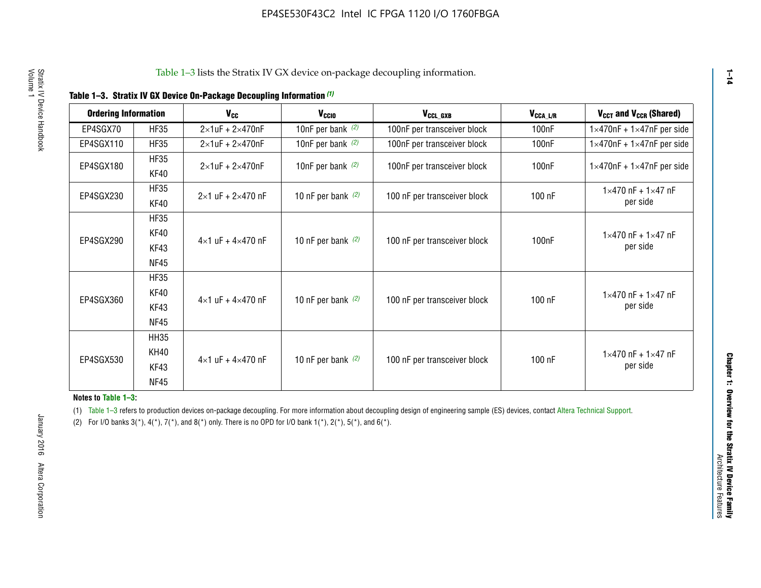|  |  | Table 1-3. Stratix IV GX Device On-Package Decoupling Information (1) |  |  |
|--|--|-----------------------------------------------------------------------|--|--|
|--|--|-----------------------------------------------------------------------|--|--|

| <b>Ordering Information</b> |                            | <b>V<sub>cc</sub></b>               | V <sub>ccio</sub>    | V <sub>CCL GXB</sub>         | V <sub>CCA_L/R</sub> | V <sub>CCT</sub> and V <sub>CCR</sub> (Shared)   |
|-----------------------------|----------------------------|-------------------------------------|----------------------|------------------------------|----------------------|--------------------------------------------------|
| EP4SGX70                    | <b>HF35</b>                | $2\times1$ uF + $2\times470$ nF     | 10nF per bank $(2)$  | 100nF per transceiver block  | 100 <sub>n</sub> F   | $1 \times 470$ nF + $1 \times 47$ nF per side    |
| EP4SGX110                   | <b>HF35</b>                | $2\times1$ uF + $2\times470$ nF     | 10nF per bank $(2)$  | 100nF per transceiver block  | 100 <sub>n</sub> F   | $1\times470$ nF + $1\times47$ nF per side        |
| EP4SGX180                   | <b>HF35</b><br>KF40        | $2\times1$ uF + $2\times470$ nF     | 10nF per bank $(2)$  | 100nF per transceiver block  | 100 <sub>n</sub> F   | $1 \times 470$ nF + $1 \times 47$ nF per side    |
| EP4SGX230                   | <b>HF35</b><br>KF40        | $2 \times 1$ uF + $2 \times 470$ nF | 10 nF per bank $(2)$ | 100 nF per transceiver block | 100 nF               | $1 \times 470$ nF + $1 \times 47$ nF<br>per side |
|                             | <b>HF35</b><br><b>KF40</b> |                                     |                      |                              |                      | $1 \times 470$ nF + $1 \times 47$ nF             |
| EP4SGX290                   | KF43<br><b>NF45</b>        | $4 \times 1$ uF + $4 \times 470$ nF | 10 nF per bank $(2)$ | 100 nF per transceiver block | 100nF                | per side                                         |
|                             | <b>HF35</b><br>KF40        |                                     |                      |                              |                      | $1 \times 470$ nF + $1 \times 47$ nF             |
| EP4SGX360                   | KF43<br><b>NF45</b>        | $4 \times 1$ uF + $4 \times 470$ nF | 10 nF per bank $(2)$ | 100 nF per transceiver block | 100 nF               | per side                                         |
|                             | <b>HH35</b>                |                                     |                      |                              |                      |                                                  |
| EP4SGX530                   | <b>KH40</b><br>KF43        | $4 \times 1$ uF + $4 \times 470$ nF | 10 nF per bank $(2)$ | 100 nF per transceiver block | 100 nF               | $1 \times 470$ nF + $1 \times 47$ nF<br>per side |
|                             | <b>NF45</b>                |                                     |                      |                              |                      |                                                  |

**Notes to Table 1–3:**

(1) Table 1-3 refers to production devices on-package decoupling. For more information about decoupling design of engineering sample (ES) devices, contact [Altera Technical Support](http://mysupport.altera.com/eservice/login.asp).

(2) For I/O banks  $3(*)$ ,  $4(*)$ ,  $7(*)$ , and  $8(*)$  only. There is no OPD for I/O bank  $1(*)$ ,  $2(*)$ ,  $5(*)$ , and  $6(*)$ .

**1–14**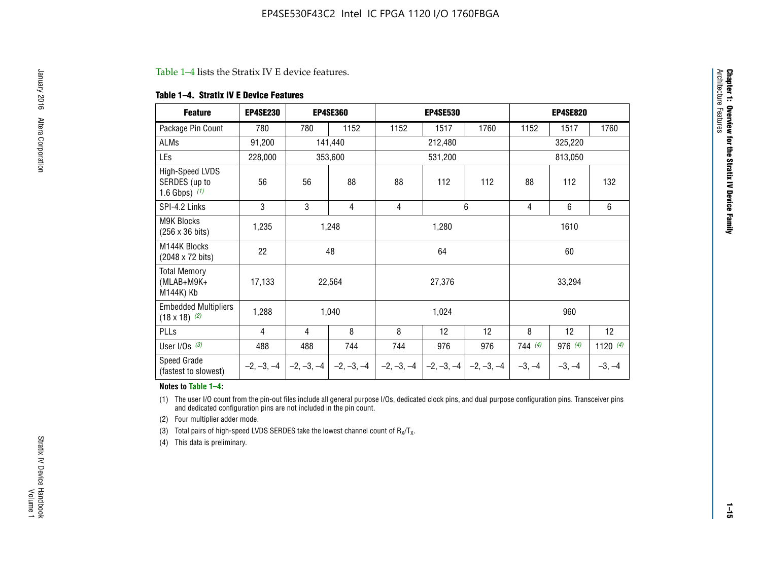#### Table 1–4 lists the Stratix IV E device features.

#### **Table 1–4. Stratix IV E Device Features**

| <b>Feature</b>                                      | <b>EP4SE230</b> |     | <b>EP4SE360</b>                          |              | <b>EP4SE530</b> |              |          | <b>EP4SE820</b> |            |  |
|-----------------------------------------------------|-----------------|-----|------------------------------------------|--------------|-----------------|--------------|----------|-----------------|------------|--|
| Package Pin Count                                   | 780             | 780 | 1152                                     | 1152         | 1517            | 1760         | 1152     | 1517            | 1760       |  |
| ALMs                                                | 91,200          |     | 141,440                                  |              | 212,480         |              |          | 325,220         |            |  |
| LEs                                                 | 228,000         |     | 353,600                                  |              | 531,200         |              |          | 813,050         |            |  |
| High-Speed LVDS<br>SERDES (up to<br>1.6 Gbps) $(1)$ | 56              | 56  | 88                                       | 88           | 112             | 112          | 88       | 112             | 132        |  |
| SPI-4.2 Links                                       | 3               | 3   | 4                                        | 4            |                 | 6            | 4        | 6               | 6          |  |
| <b>M9K Blocks</b><br>(256 x 36 bits)                | 1,235           |     | 1,248                                    |              | 1,280           |              |          | 1610            |            |  |
| M144K Blocks<br>(2048 x 72 bits)                    | 22              |     | 48                                       |              | 64              |              |          | 60              |            |  |
| <b>Total Memory</b><br>$(MLAB+M9K+$<br>M144K) Kb    | 17,133          |     | 22,564                                   |              | 27,376          |              |          | 33,294          |            |  |
| <b>Embedded Multipliers</b><br>$(18 \times 18)$ (2) | 1,288           |     | 1,040                                    |              | 1,024           |              |          | 960             |            |  |
| PLLs                                                | 4               | 4   | 8                                        | 8            | 12              | 12           | 8        | 12              | 12         |  |
| User I/Os $(3)$                                     | 488             | 488 | 744                                      | 744          | 976             | 976          | 744(4)   | 976 (4)         | 1120 $(4)$ |  |
| Speed Grade<br>(fastest to slowest)                 |                 |     | $-2, -3, -4$ $ -2, -3, -4$ $ -2, -3, -4$ | $-2, -3, -4$ | $-2, -3, -4$    | $-2, -3, -4$ | $-3, -4$ | $-3, -4$        | $-3, -4$   |  |

#### **Notes to Table 1–4:**

(1) The user I/O count from the pin-out files include all general purpose I/Os, dedicated clock pins, and dual purpose configuration pins. Transceiver pins and dedicated configuration pins are not included in the pin count.

(2) Four multiplier adder mode.

(3) Total pairs of high-speed LVDS SERDES take the lowest channel count of  $R_X/T_X$ .

(4) This data is preliminary.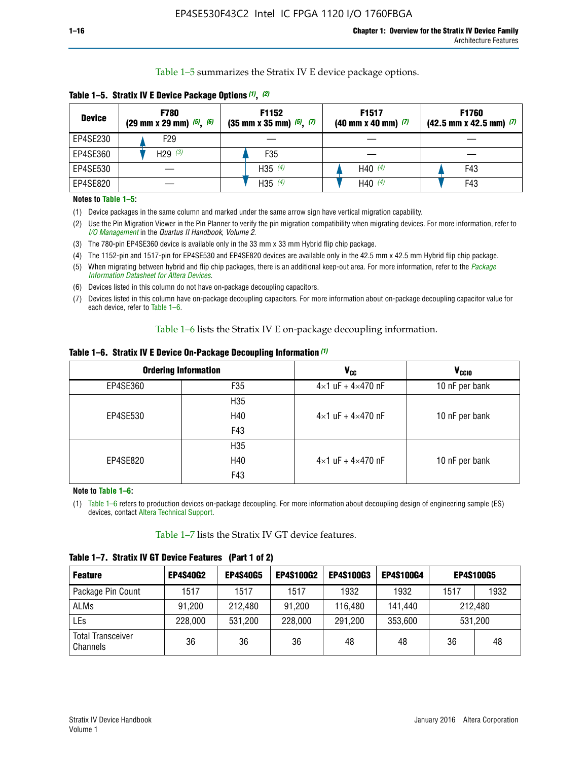Table 1–5 summarizes the Stratix IV E device package options.

| <b>Device</b> | <b>F780</b><br>$(29 \text{ mm} \times 29 \text{ mm})$ $(5)$ , $(6)$ | F1152<br>$(35 \text{ mm} \times 35 \text{ mm})$ $(5)$ , $(7)$ | F <sub>1517</sub><br>$(40 \text{ mm} \times 40 \text{ mm})$ (7) | <b>F1760</b><br>$(42.5$ mm x 42.5 mm) $(7)$ |
|---------------|---------------------------------------------------------------------|---------------------------------------------------------------|-----------------------------------------------------------------|---------------------------------------------|
| EP4SE230      | F29                                                                 |                                                               |                                                                 |                                             |
| EP4SE360      | H <sub>29</sub> $(3)$                                               | F35                                                           |                                                                 |                                             |
| EP4SE530      |                                                                     | H35 $(4)$                                                     | H40 $(4)$                                                       | F43                                         |
| EP4SE820      |                                                                     | H35 $(4)$                                                     | H40 $(4)$                                                       | F43                                         |

**Table 1–5. Stratix IV E Device Package Options** *(1)***,** *(2)*

#### **Notes to Table 1–5:**

(1) Device packages in the same column and marked under the same arrow sign have vertical migration capability.

(2) Use the Pin Migration Viewer in the Pin Planner to verify the pin migration compatibility when migrating devices. For more information, refer to *[I/O Management](http://www.altera.com/literature/hb/qts/qts_qii52013.pdf)* in the *Quartus II Handbook, Volume 2*.

(3) The 780-pin EP4SE360 device is available only in the 33 mm x 33 mm Hybrid flip chip package.

(4) The 1152-pin and 1517-pin for EP4SE530 and EP4SE820 devices are available only in the 42.5 mm x 42.5 mm Hybrid flip chip package.

(5) When migrating between hybrid and flip chip packages, there is an additional keep-out area. For more information, refer to the *[Package](http://www.altera.com/literature/ds/dspkg.pdf)  [Information Datasheet for Altera Devices](http://www.altera.com/literature/ds/dspkg.pdf)*.

(6) Devices listed in this column do not have on-package decoupling capacitors.

(7) Devices listed in this column have on-package decoupling capacitors. For more information about on-package decoupling capacitor value for each device, refer to Table 1–6.

Table 1–6 lists the Stratix IV E on-package decoupling information.

| Table 1–6. Stratix IV E Device On-Package Decoupling Information (1) |  |  |  |  |  |
|----------------------------------------------------------------------|--|--|--|--|--|
|----------------------------------------------------------------------|--|--|--|--|--|

|          | <b>Ordering Information</b> | <b>V<sub>cc</sub></b>               | <b>V<sub>CCIO</sub></b> |
|----------|-----------------------------|-------------------------------------|-------------------------|
| EP4SE360 | F35                         | $4 \times 1$ uF + $4 \times 470$ nF | 10 nF per bank          |
|          | H <sub>35</sub>             |                                     |                         |
| EP4SE530 | H40                         | $4 \times 1$ uF + $4 \times 470$ nF | 10 nF per bank          |
|          | F43                         |                                     |                         |
|          | H <sub>35</sub>             |                                     |                         |
| EP4SE820 | H40                         | $4 \times 1$ uF + $4 \times 470$ nF | 10 nF per bank          |
|          | F43                         |                                     |                         |

**Note to Table 1–6:**

(1) Table 1–6 refers to production devices on-package decoupling. For more information about decoupling design of engineering sample (ES) devices, contact [Altera Technical Support](http://mysupport.altera.com/eservice/login.asp).

Table 1–7 lists the Stratix IV GT device features.

| <b>Feature</b>                       | <b>EP4S40G2</b> | <b>EP4S40G5</b> | <b>EP4S100G2</b> | <b>EP4S100G3</b> | <b>EP4S100G4</b> | <b>EP4S100G5</b> |         |
|--------------------------------------|-----------------|-----------------|------------------|------------------|------------------|------------------|---------|
| Package Pin Count                    | 1517            | 1517            | 1517             | 1932             | 1932             | 1517             | 1932    |
| <b>ALMs</b>                          | 91,200          | 212,480         | 91,200           | 116,480          | 141,440          |                  | 212.480 |
| LEs                                  | 228,000         | 531,200         | 228,000          | 291,200          | 353,600          |                  | 531,200 |
| <b>Total Transceiver</b><br>Channels | 36              | 36              | 36               | 48               | 48               | 36               | 48      |

**Table 1–7. Stratix IV GT Device Features (Part 1 of 2)**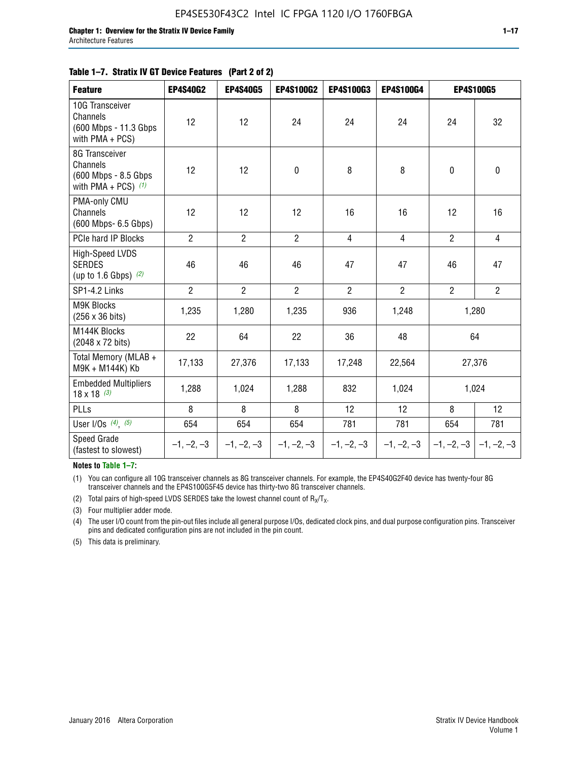#### **Table 1–7. Stratix IV GT Device Features (Part 2 of 2)**

| <b>Feature</b>                                                              | <b>EP4S40G2</b> | <b>EP4S40G5</b> | <b>EP4S100G2</b> | <b>EP4S100G3</b> | <b>EP4S100G4</b> | <b>EP4S100G5</b> |                           |
|-----------------------------------------------------------------------------|-----------------|-----------------|------------------|------------------|------------------|------------------|---------------------------|
| 10G Transceiver<br>Channels<br>(600 Mbps - 11.3 Gbps<br>with PMA + PCS)     | 12              | 12              | 24               | 24               | 24               | 24               | 32                        |
| 8G Transceiver<br>Channels<br>(600 Mbps - 8.5 Gbps<br>with PMA + PCS) $(1)$ | 12              | 12              | $\pmb{0}$        | 8                | 8                | $\mathbf 0$      | 0                         |
| PMA-only CMU<br>Channels<br>(600 Mbps- 6.5 Gbps)                            | 12              | 12              | 12               | 16               | 16               | 12               | 16                        |
| PCIe hard IP Blocks                                                         | $\overline{2}$  | $\overline{2}$  | $\overline{2}$   | $\overline{4}$   | $\overline{4}$   | $\overline{2}$   | $\overline{4}$            |
| <b>High-Speed LVDS</b><br><b>SERDES</b><br>(up to 1.6 Gbps) $(2)$           | 46              | 46              | 46               | 47               | 47               | 46               | 47                        |
| SP1-4.2 Links                                                               | $\overline{2}$  | $\overline{2}$  | $\overline{2}$   | $\overline{2}$   | $\overline{2}$   | $\overline{2}$   | $\overline{2}$            |
| <b>M9K Blocks</b><br>(256 x 36 bits)                                        | 1,235           | 1,280           | 1,235            | 936              | 1,248            |                  | 1,280                     |
| M144K Blocks<br>(2048 x 72 bits)                                            | 22              | 64              | 22               | 36               | 48               |                  | 64                        |
| Total Memory (MLAB +<br>M9K + M144K) Kb                                     | 17,133          | 27,376          | 17,133           | 17,248           | 22,564           |                  | 27,376                    |
| <b>Embedded Multipliers</b><br>$18 \times 18^{(3)}$                         | 1,288           | 1,024           | 1,288            | 832              | 1,024            |                  | 1,024                     |
| PLLs                                                                        | 8               | 8               | 8                | 12               | 12               | 8                | 12                        |
| User I/Os $(4)$ , $(5)$                                                     | 654             | 654             | 654              | 781              | 781              | 654              | 781                       |
| Speed Grade<br>(fastest to slowest)                                         | $-1, -2, -3$    | $-1, -2, -3$    | $-1, -2, -3$     | $-1, -2, -3$     | $-1, -2, -3$     |                  | $-1, -2, -3$ $-1, -2, -3$ |

**Notes to Table 1–7:**

(1) You can configure all 10G transceiver channels as 8G transceiver channels. For example, the EP4S40G2F40 device has twenty-four 8G transceiver channels and the EP4S100G5F45 device has thirty-two 8G transceiver channels.

(2) Total pairs of high-speed LVDS SERDES take the lowest channel count of  $R_X/T_X$ .

(3) Four multiplier adder mode.

(4) The user I/O count from the pin-out files include all general purpose I/Os, dedicated clock pins, and dual purpose configuration pins. Transceiver pins and dedicated configuration pins are not included in the pin count.

(5) This data is preliminary.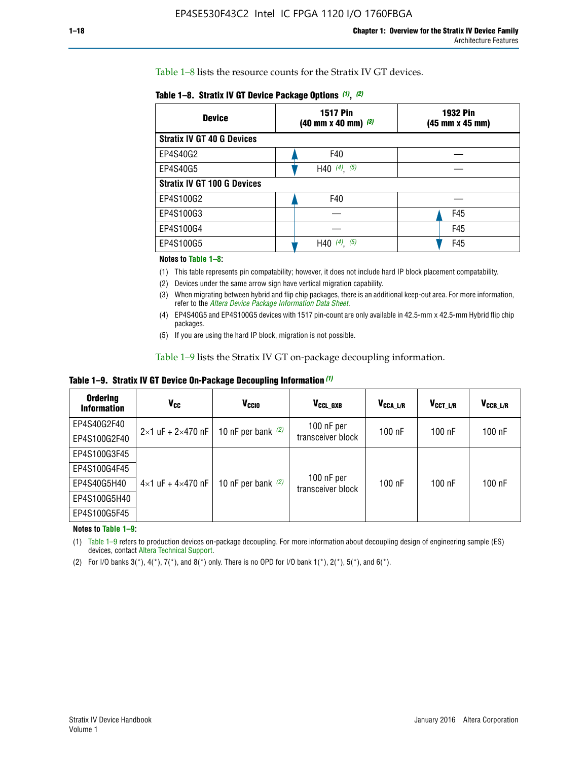Table 1–8 lists the resource counts for the Stratix IV GT devices.

| <b>Device</b>                      | <b>1517 Pin</b><br>$(40 \text{ mm} \times 40 \text{ mm})$ $(3)$ | <b>1932 Pin</b><br>(45 mm x 45 mm) |  |
|------------------------------------|-----------------------------------------------------------------|------------------------------------|--|
| <b>Stratix IV GT 40 G Devices</b>  |                                                                 |                                    |  |
| EP4S40G2                           | F40                                                             |                                    |  |
| EP4S40G5                           | H40 $(4)$ , $(5)$                                               |                                    |  |
| <b>Stratix IV GT 100 G Devices</b> |                                                                 |                                    |  |
| EP4S100G2                          | F40                                                             |                                    |  |
| EP4S100G3                          | F45                                                             |                                    |  |
| EP4S100G4                          |                                                                 | F45                                |  |
| EP4S100G5                          | $(4)$ $(5)$<br>H40                                              | F45                                |  |

#### **Notes to Table 1–8:**

(1) This table represents pin compatability; however, it does not include hard IP block placement compatability.

- (2) Devices under the same arrow sign have vertical migration capability.
- (3) When migrating between hybrid and flip chip packages, there is an additional keep-out area. For more information, refer to the *[Altera Device Package Information Data Sheet](http://www.altera.com/literature/ds/dspkg.pdf)*.
- (4) EP4S40G5 and EP4S100G5 devices with 1517 pin-count are only available in 42.5-mm x 42.5-mm Hybrid flip chip packages.
- (5) If you are using the hard IP block, migration is not possible.

Table 1–9 lists the Stratix IV GT on-package decoupling information.

**Table 1–9. Stratix IV GT Device On-Package Decoupling Information** *(1)*

| <b>Ordering</b><br><b>Information</b> | Vcc                                 | <b>V<sub>CCIO</sub></b> | V <sub>CCL GXB</sub>            | V <sub>CCA L/R</sub> | V <sub>CCT L/R</sub> | V <sub>CCR_L/R</sub> |
|---------------------------------------|-------------------------------------|-------------------------|---------------------------------|----------------------|----------------------|----------------------|
| EP4S40G2F40                           | $2 \times 1$ uF + $2 \times 470$ nF | 10 nF per bank $(2)$    | 100 nF per<br>transceiver block | $100$ nF             | $100$ nF             | $100$ nF             |
| EP4S100G2F40                          |                                     |                         |                                 |                      |                      |                      |
| EP4S100G3F45                          |                                     | 10 nF per bank $(2)$    | 100 nF per<br>transceiver block | $100$ nF             | $100$ nF             | $100$ nF             |
| EP4S100G4F45                          |                                     |                         |                                 |                      |                      |                      |
| EP4S40G5H40                           | $4\times1$ uF + $4\times470$ nF     |                         |                                 |                      |                      |                      |
| EP4S100G5H40                          |                                     |                         |                                 |                      |                      |                      |
| EP4S100G5F45                          |                                     |                         |                                 |                      |                      |                      |

**Notes to Table 1–9:**

(1) Table 1–9 refers to production devices on-package decoupling. For more information about decoupling design of engineering sample (ES) devices, contact [Altera Technical Support](http://mysupport.altera.com/eservice/login.asp).

(2) For I/O banks  $3(*)$ ,  $4(*)$ ,  $7(*)$ , and  $8(*)$  only. There is no OPD for I/O bank  $1(*)$ ,  $2(*)$ ,  $5(*)$ , and  $6(*)$ .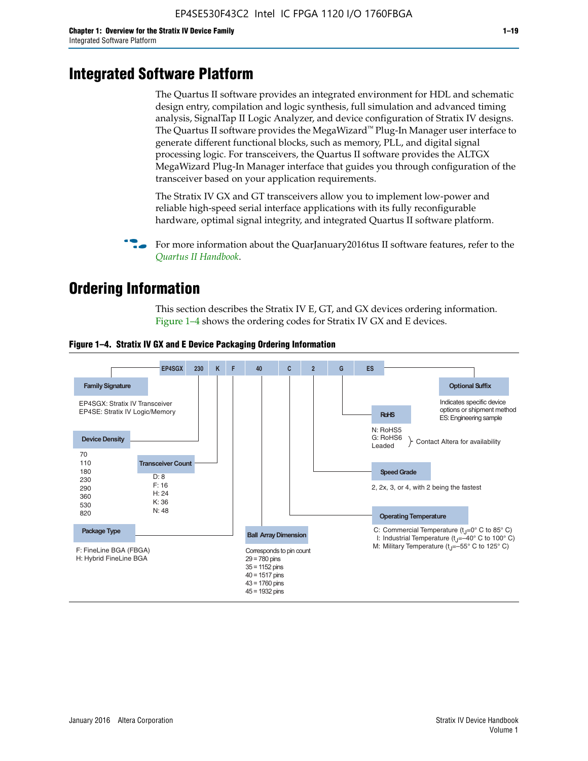# **Integrated Software Platform**

The Quartus II software provides an integrated environment for HDL and schematic design entry, compilation and logic synthesis, full simulation and advanced timing analysis, SignalTap II Logic Analyzer, and device configuration of Stratix IV designs. The Quartus II software provides the MegaWizard<sup> $M$ </sup> Plug-In Manager user interface to generate different functional blocks, such as memory, PLL, and digital signal processing logic. For transceivers, the Quartus II software provides the ALTGX MegaWizard Plug-In Manager interface that guides you through configuration of the transceiver based on your application requirements.

The Stratix IV GX and GT transceivers allow you to implement low-power and reliable high-speed serial interface applications with its fully reconfigurable hardware, optimal signal integrity, and integrated Quartus II software platform.

For more information about the QuarJanuary2016tus II software features, refer to the *[Quartus II Handbook](http://www.altera.com/literature/lit-qts.jsp)*.

# **Ordering Information**

This section describes the Stratix IV E, GT, and GX devices ordering information. Figure 1–4 shows the ordering codes for Stratix IV GX and E devices.



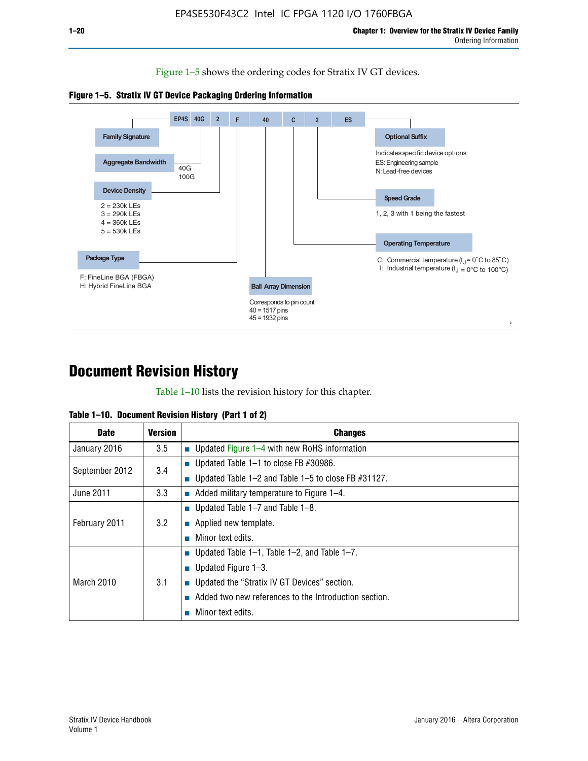Figure 1–5 shows the ordering codes for Stratix IV GT devices.





# **Document Revision History**

Table 1–10 lists the revision history for this chapter.

| <b>Date</b>       | <b>Version</b> | <b>Changes</b>                                              |
|-------------------|----------------|-------------------------------------------------------------|
| January 2016      | 3.5            | ■ Updated Figure 1–4 with new RoHS information              |
| September 2012    | 3.4            | ■ Updated Table 1–1 to close FB $#30986$ .                  |
|                   |                | Updated Table $1-2$ and Table $1-5$ to close FB $\#31127$ . |
| June 2011         | 3.3            | $\blacksquare$ Added military temperature to Figure 1–4.    |
| February 2011     | 3.2            | ■ Updated Table 1–7 and Table 1–8.                          |
|                   |                | $\blacksquare$ Applied new template.                        |
|                   |                | Minor text edits.                                           |
| <b>March 2010</b> | 3.1            | <b>Updated Table 1–1, Table 1–2, and Table 1–7.</b>         |
|                   |                | <b>U</b> Updated Figure 1–3.                                |
|                   |                | ■ Updated the "Stratix IV GT Devices" section.              |
|                   |                | Added two new references to the Introduction section.       |
|                   |                | Minor text edits.                                           |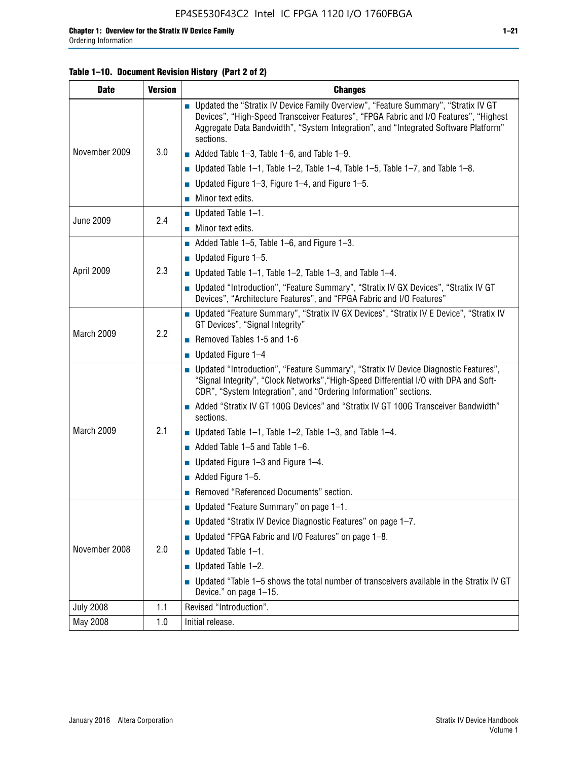#### **Table 1–10. Document Revision History (Part 2 of 2)**

| <b>Date</b>      | <b>Version</b> | <b>Changes</b>                                                                                                                                                                                                                                                                    |  |
|------------------|----------------|-----------------------------------------------------------------------------------------------------------------------------------------------------------------------------------------------------------------------------------------------------------------------------------|--|
| November 2009    | 3.0            | ■ Updated the "Stratix IV Device Family Overview", "Feature Summary", "Stratix IV GT<br>Devices", "High-Speed Transceiver Features", "FPGA Fabric and I/O Features", "Highest<br>Aggregate Data Bandwidth", "System Integration", and "Integrated Software Platform"<br>sections. |  |
|                  |                | $\blacksquare$ Added Table 1-3, Table 1-6, and Table 1-9.                                                                                                                                                                                                                         |  |
|                  |                | $\blacksquare$ Updated Table 1-1, Table 1-2, Table 1-4, Table 1-5, Table 1-7, and Table 1-8.                                                                                                                                                                                      |  |
|                  |                | ■ Updated Figure 1–3, Figure 1–4, and Figure 1–5.                                                                                                                                                                                                                                 |  |
|                  |                | $\blacksquare$ Minor text edits.                                                                                                                                                                                                                                                  |  |
|                  | 2.4            | $\blacksquare$ Updated Table 1-1.                                                                                                                                                                                                                                                 |  |
| <b>June 2009</b> |                | Minor text edits.                                                                                                                                                                                                                                                                 |  |
|                  |                | $\blacksquare$ Added Table 1–5, Table 1–6, and Figure 1–3.                                                                                                                                                                                                                        |  |
|                  |                | $\blacksquare$ Updated Figure 1-5.                                                                                                                                                                                                                                                |  |
| April 2009       | 2.3            | Updated Table $1-1$ , Table $1-2$ , Table $1-3$ , and Table $1-4$ .                                                                                                                                                                                                               |  |
|                  |                | ■ Updated "Introduction", "Feature Summary", "Stratix IV GX Devices", "Stratix IV GT<br>Devices", "Architecture Features", and "FPGA Fabric and I/O Features"                                                                                                                     |  |
| March 2009       | 2.2            | ■ Updated "Feature Summary", "Stratix IV GX Devices", "Stratix IV E Device", "Stratix IV<br>GT Devices", "Signal Integrity"                                                                                                                                                       |  |
|                  |                | Removed Tables 1-5 and 1-6                                                                                                                                                                                                                                                        |  |
|                  |                | Updated Figure 1-4                                                                                                                                                                                                                                                                |  |
|                  |                | ■ Updated "Introduction", "Feature Summary", "Stratix IV Device Diagnostic Features",<br>"Signal Integrity", "Clock Networks", "High-Speed Differential I/O with DPA and Soft-<br>CDR", "System Integration", and "Ordering Information" sections.                                |  |
|                  |                | Added "Stratix IV GT 100G Devices" and "Stratix IV GT 100G Transceiver Bandwidth"<br>sections.                                                                                                                                                                                    |  |
| March 2009       | 2.1            | <b>Updated Table 1–1, Table 1–2, Table 1–3, and Table 1–4.</b>                                                                                                                                                                                                                    |  |
|                  |                | $\blacksquare$ Added Table 1-5 and Table 1-6.                                                                                                                                                                                                                                     |  |
|                  |                | ■ Updated Figure $1-3$ and Figure $1-4$ .                                                                                                                                                                                                                                         |  |
|                  |                | $\blacksquare$ Added Figure 1-5.                                                                                                                                                                                                                                                  |  |
|                  |                | Removed "Referenced Documents" section.                                                                                                                                                                                                                                           |  |
|                  |                | Updated "Feature Summary" on page 1-1.                                                                                                                                                                                                                                            |  |
| November 2008    | 2.0            | ■ Updated "Stratix IV Device Diagnostic Features" on page 1-7.                                                                                                                                                                                                                    |  |
|                  |                | Updated "FPGA Fabric and I/O Features" on page 1-8.                                                                                                                                                                                                                               |  |
|                  |                | $\blacksquare$ Updated Table 1-1.                                                                                                                                                                                                                                                 |  |
|                  |                | Updated Table 1-2.                                                                                                                                                                                                                                                                |  |
|                  |                | Updated "Table 1-5 shows the total number of transceivers available in the Stratix IV GT<br>Device." on page 1-15.                                                                                                                                                                |  |
| <b>July 2008</b> | 1.1            | Revised "Introduction".                                                                                                                                                                                                                                                           |  |
| May 2008         | 1.0            | Initial release.                                                                                                                                                                                                                                                                  |  |